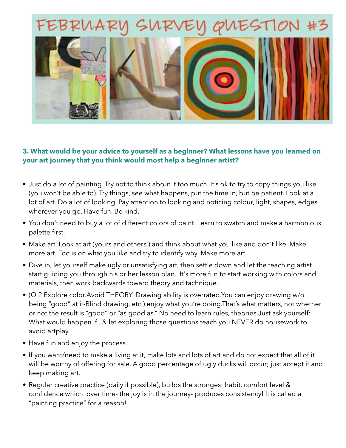

## **3. What would be your advice to yourself as a beginner? What lessons have you learned on your art journey that you think would most help a beginner artist?**

- Just do a lot of painting. Try not to think about it too much. It's ok to try to copy things you like (you won't be able to). Try things, see what happens, put the time in, but be patient. Look at a lot of art. Do a lot of looking. Pay attention to looking and noticing colour, light, shapes, edges wherever you go. Have fun. Be kind.
- You don't need to buy a lot of different colors of paint. Learn to swatch and make a harmonious palette first.
- Make art. Look at art (yours and others') and think about what you like and don't like. Make more art. Focus on what you like and try to identify why. Make more art.
- Dive in, let yourself make ugly or unsatisfying art, then settle down and let the teaching artist start guiding you through his or her lesson plan. It's more fun to start working with colors and materials, then work backwards toward theory and tachnique.
- (Q 2 Explore color.Avoid THEORY. Drawing ability is overrated.You can enjoy drawing w/o being "good" at it-Blind drawing, etc.) enjoy what you're doing.That's what matters, not whether or not the result is "good" or "as good as." No need to learn rules, theories.Just ask yourself: What would happen if...& let exploring those questions teach you.NEVER do housework to avoid artplay.
- Have fun and enjoy the process.
- If you want/need to make a living at it, make lots and lots of art and do not expect that all of it will be worthy of offering for sale. A good percentage of ugly ducks will occur; just accept it and keep making art.
- Regular creative practice (daily if possible), builds the strongest habit, comfort level & confidence which over time- the joy is in the journey- produces consistency! It is called a "painting practice" for a reason!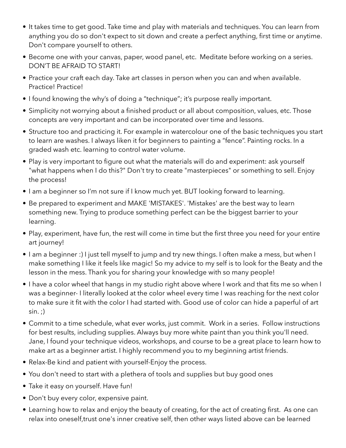- It takes time to get good. Take time and play with materials and techniques. You can learn from anything you do so don't expect to sit down and create a perfect anything, first time or anytime. Don't compare yourself to others.
- Become one with your canvas, paper, wood panel, etc. Meditate before working on a series. DON'T BE AFRAID TO START!
- Practice your craft each day. Take art classes in person when you can and when available. Practice! Practice!
- I found knowing the why's of doing a "technique"; it's purpose really important.
- Simplicity not worrying about a finished product or all about composition, values, etc. Those concepts are very important and can be incorporated over time and lessons.
- Structure too and practicing it. For example in watercolour one of the basic techniques you start to learn are washes. I always liken it for beginners to painting a "fence". Painting rocks. In a graded wash etc. learning to control water volume.
- Play is very important to figure out what the materials will do and experiment: ask yourself "what happens when I do this?" Don't try to create "masterpieces" or something to sell. Enjoy the process!
- I am a beginner so I'm not sure if I know much yet. BUT looking forward to learning.
- Be prepared to experiment and MAKE 'MISTAKES'. 'Mistakes' are the best way to learn something new. Trying to produce something perfect can be the biggest barrier to your learning.
- Play, experiment, have fun, the rest will come in time but the first three you need for your entire art journey!
- I am a beginner :) I just tell myself to jump and try new things. I often make a mess, but when I make something I like it feels like magic! So my advice to my self is to look for the Beaty and the lesson in the mess. Thank you for sharing your knowledge with so many people!
- I have a color wheel that hangs in my studio right above where I work and that fits me so when I was a beginner- I literally looked at the color wheel every time I was reaching for the next color to make sure it fit with the color I had started with. Good use of color can hide a paperful of art  $sin.$  ;)
- Commit to a time schedule, what ever works, just commit. Work in a series. Follow instructions for best results, including supplies. Always buy more white paint than you think you'll need. Jane, I found your technique videos, workshops, and course to be a great place to learn how to make art as a beginner artist. I highly recommend you to my beginning artist friends.
- Relax-Be kind and patient with yourself-Enjoy the process.
- You don't need to start with a plethera of tools and supplies but buy good ones
- Take it easy on yourself. Have fun!
- Don't buy every color, expensive paint.
- Learning how to relax and enjoy the beauty of creating, for the act of creating first. As one can relax into oneself,trust one's inner creative self, then other ways listed above can be learned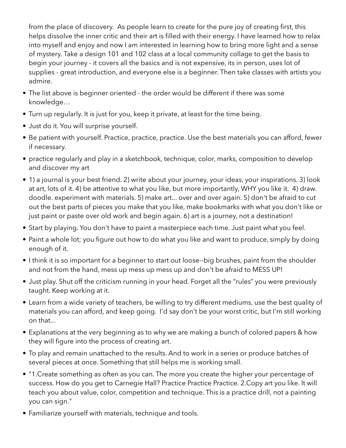from the place of discovery. As people learn to create for the pure joy of creating first, this helps dissolve the inner critic and their art is filled with their energy. I have learned how to relax into myself and enjoy and now I am interested in learning how to bring more light and a sense of mystery. Take a design 101 and 102 class at a local community collage to get the basis to begin your journey - it covers all the basics and is not expensive, its in person, uses lot of supplies - great introduction, and everyone else is a beginner. Then take classes with artists you admire.

- The list above is beginner oriented the order would be different if there was some knowledge…
- Turn up regularly. It is just for you, keep it private, at least for the time being.
- Just do it. You will surprise yourself.
- Be patient with yourself. Practice, practice, practice. Use the best materials you can afford, fewer if necessary.
- practice regularly and play in a sketchbook, technique, color, marks, composition to develop and discover my art
- 1) a journal is your best friend. 2) write about your journey, your ideas, your inspirations. 3) look at art, lots of it. 4) be attentive to what you like, but more importantly, WHY you like it. 4) draw. doodle. experiment with materials. 5) make art... over and over again. 5) don't be afraid to cut out the best parts of pieces you make that you like, make bookmarks with what you don't like or just paint or paste over old work and begin again. 6) art is a journey, not a destination!
- Start by playing. You don't have to paint a masterpiece each time. Just paint what you feel.
- Paint a whole lot; you figure out how to do what you like and want to produce, simply by doing enough of it.
- I think it is so important for a beginner to start out loose--big brushes, paint from the shoulder and not from the hand, mess up mess up mess up and don't be afraid to MESS UP!
- Just play. Shut off the criticism running in your head. Forget all the "rules" you were previously taught. Keep working at it.
- Learn from a wide variety of teachers, be willing to try different mediums, use the best quality of materials you can afford, and keep going. I'd say don't be your worst critic, but I'm still working on that...
- Explanations at the very beginning as to why we are making a bunch of colored papers & how they will figure into the process of creating art.
- To play and remain unattached to the results. And to work in a series or produce batches of several pieces at once. Something that still helps me is working small.
- "1.Create something as often as you can. The more you create the higher your percentage of success. How do you get to Carnegie Hall? Practice Practice Practice. 2.Copy art you like. It will teach you about value, color, competition and technique. This is a practice drill, not a painting you can sign."
- Familiarize yourself with materials, technique and tools.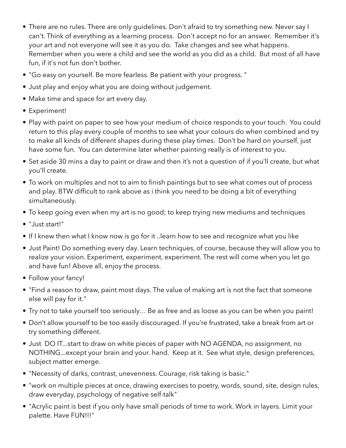- There are no rules. There are only guidelines. Don't afraid to try something new. Never say I can't. Think of everything as a learning process. Don't accept no for an answer. Remember it's your art and not everyone will see it as you do. Take changes and see what happens. Remember when you were a child and see the world as you did as a child. But most of all have fun, if it's not fun don't bother.
- "Go easy on yourself. Be more fearless. Be patient with your progress. "
- Just play and enjoy what you are doing without judgement.
- Make time and space for art every day.
- Experiment!
- Play with paint on paper to see how your medium of choice responds to your touch. You could return to this play every couple of months to see what your colours do when combined and try to make all kinds of different shapes during these play times. Don't be hard on yourself, just have some fun. You can determine later whether painting really is of interest to you.
- Set aside 30 mins a day to paint or draw and then it's not a question of if you'll create, but what you'll create.
- To work on multiples and not to aim to finish paintings but to see what comes out of process and play. BTW difficult to rank above as i think you need to be doing a bit of everything simultaneously.
- To keep going even when my art is no good; to keep trying new mediums and techniques
- "Just start!"
- If I knew then what I know now is go for it ..learn how to see and recognize what you like
- Just Paint! Do something every day. Learn techniques, of course, because they will allow you to realize your vision. Experiment, experiment, experiment. The rest will come when you let go and have fun! Above all, enjoy the process.
- Follow your fancy!
- "Find a reason to draw, paint most days. The value of making art is not the fact that someone else will pay for it."
- Try not to take yourself too seriously… Be as free and as loose as you can be when you paint!
- Don't allow yourself to be too easily discouraged. If you're frustrated, take a break from art or try something different.
- Just DO IT...start to draw on white pieces of paper with NO AGENDA, no assignment, no NOTHING...except your brain and your. hand. Keep at it. See what style, design preferences, subject matter emerge.
- "Necessity of darks, contrast, unevenness. Courage, risk taking is basic."
- "work on multiple pieces at once, drawing exercises to poetry, words, sound, site, design rules, draw everyday, psychology of negative self-talk"
- "Acrylic paint is best if you only have small periods of time to work. Work in layers. Limit your palette. Have FUN!!!"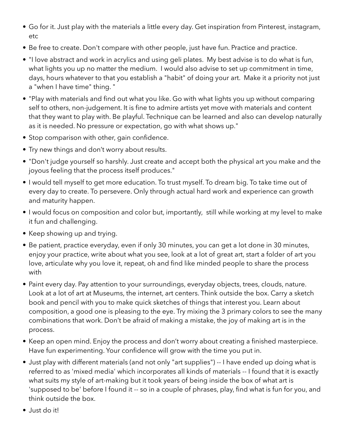- Go for it. Just play with the materials a little every day. Get inspiration from Pinterest, instagram, etc
- Be free to create. Don't compare with other people, just have fun. Practice and practice.
- "I love abstract and work in acrylics and using geli plates. My best advise is to do what is fun, what lights you up no matter the medium. I would also advise to set up commitment in time, days, hours whatever to that you establish a "habit" of doing your art. Make it a priority not just a "when I have time" thing. "
- "Play with materials and find out what you like. Go with what lights you up without comparing self to others, non-judgement. It is fine to admire artists yet move with materials and content that they want to play with. Be playful. Technique can be learned and also can develop naturally as it is needed. No pressure or expectation, go with what shows up."
- Stop comparison with other, gain confidence.
- Try new things and don't worry about results.
- "Don't judge yourself so harshly. Just create and accept both the physical art you make and the joyous feeling that the process itself produces."
- I would tell myself to get more education. To trust myself. To dream big. To take time out of every day to create. To persevere. Only through actual hard work and experience can growth and maturity happen.
- I would focus on composition and color but, importantly, still while working at my level to make it fun and challenging.
- Keep showing up and trying.
- Be patient, practice everyday, even if only 30 minutes, you can get a lot done in 30 minutes, enjoy your practice, write about what you see, look at a lot of great art, start a folder of art you love, articulate why you love it, repeat, oh and find like minded people to share the process with
- Paint every day. Pay attention to your surroundings, everyday objects, trees, clouds, nature. Look at a lot of art at Museums, the internet, art centers. Think outside the box. Carry a sketch book and pencil with you to make quick sketches of things that interest you. Learn about composition, a good one is pleasing to the eye. Try mixing the 3 primary colors to see the many combinations that work. Don't be afraid of making a mistake, the joy of making art is in the process.
- Keep an open mind. Enjoy the process and don't worry about creating a finished masterpiece. Have fun experimenting. Your confidence will grow with the time you put in.
- Just play with different materials (and not only "art supplies") -- I have ended up doing what is referred to as 'mixed media' which incorporates all kinds of materials -- I found that it is exactly what suits my style of art-making but it took years of being inside the box of what art is 'supposed to be' before I found it -- so in a couple of phrases, play, find what is fun for you, and think outside the box.
- Just do it!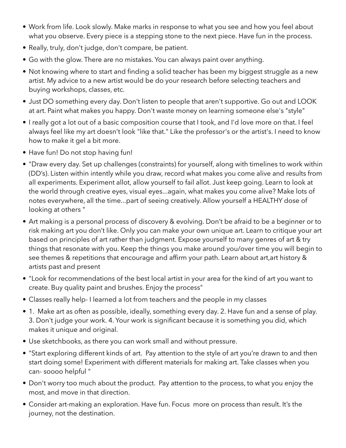- Work from life. Look slowly. Make marks in response to what you see and how you feel about what you observe. Every piece is a stepping stone to the next piece. Have fun in the process.
- Really, truly, don't judge, don't compare, be patient.
- Go with the glow. There are no mistakes. You can always paint over anything.
- Not knowing where to start and finding a solid teacher has been my biggest struggle as a new artist. My advice to a new artist would be do your research before selecting teachers and buying workshops, classes, etc.
- Just DO something every day. Don't listen to people that aren't supportive. Go out and LOOK at art. Paint what makes you happy. Don't waste money on learning someone else's "style"
- I really got a lot out of a basic composition course that I took, and I'd love more on that. I feel always feel like my art doesn't look "like that." Like the professor's or the artist's. I need to know how to make it gel a bit more.
- Have fun! Do not stop having fun!
- "Draw every day. Set up challenges (constraints) for yourself, along with timelines to work within (DD's). Listen within intently while you draw, record what makes you come alive and results from all experiments. Experiment allot, allow yourself to fail allot. Just keep going. Learn to look at the world through creative eyes, visual eyes...again, what makes you come alive? Make lots of notes everywhere, all the time...part of seeing creatively. Allow yourself a HEALTHY dose of looking at others "
- Art making is a personal process of discovery & evolving. Don't be afraid to be a beginner or to risk making art you don't like. Only you can make your own unique art. Learn to critique your art based on principles of art rather than judgment. Expose yourself to many genres of art & try things that resonate with you. Keep the things you make around you/over time you will begin to see themes & repetitions that encourage and affirm your path. Learn about art,art history & artists past and present
- "Look for recommendations of the best local artist in your area for the kind of art you want to create. Buy quality paint and brushes. Enjoy the process"
- Classes really help- I learned a lot from teachers and the people in my classes
- 1. Make art as often as possible, ideally, something every day. 2. Have fun and a sense of play. 3. Don't judge your work. 4. Your work is significant because it is something you did, which makes it unique and original.
- Use sketchbooks, as there you can work small and without pressure.
- "Start exploring different kinds of art. Pay attention to the style of art you're drawn to and then start doing some! Experiment with different materials for making art. Take classes when you can- soooo helpful "
- Don't worry too much about the product. Pay attention to the process, to what you enjoy the most, and move in that direction.
- Consider art-making an exploration. Have fun. Focus more on process than result. It's the journey, not the destination.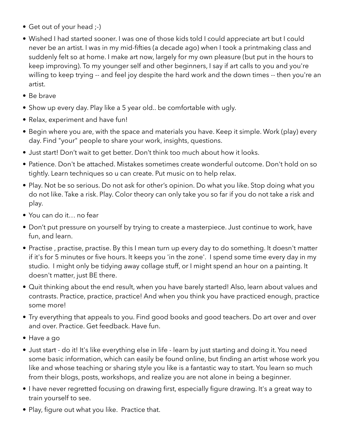- Get out of your head ;-)
- Wished I had started sooner. I was one of those kids told I could appreciate art but I could never be an artist. I was in my mid-fifties (a decade ago) when I took a printmaking class and suddenly felt so at home. I make art now, largely for my own pleasure (but put in the hours to keep improving). To my younger self and other beginners, I say if art calls to you and you're willing to keep trying -- and feel joy despite the hard work and the down times -- then you're an artist.
- Be brave
- Show up every day. Play like a 5 year old.. be comfortable with ugly.
- Relax, experiment and have fun!
- Begin where you are, with the space and materials you have. Keep it simple. Work (play) every day. Find "your" people to share your work, insights, questions.
- Just start! Don't wait to get better. Don't think too much about how it looks.
- Patience. Don't be attached. Mistakes sometimes create wonderful outcome. Don't hold on so tightly. Learn techniques so u can create. Put music on to help relax.
- Play. Not be so serious. Do not ask for other's opinion. Do what you like. Stop doing what you do not like. Take a risk. Play. Color theory can only take you so far if you do not take a risk and play.
- You can do it… no fear
- Don't put pressure on yourself by trying to create a masterpiece. Just continue to work, have fun, and learn.
- Practise , practise, practise. By this I mean turn up every day to do something. It doesn't matter if it's for 5 minutes or five hours. It keeps you 'in the zone'. I spend some time every day in my studio. I might only be tidying away collage stuff, or I might spend an hour on a painting. It doesn't matter, just BE there.
- Quit thinking about the end result, when you have barely started! Also, learn about values and contrasts. Practice, practice, practice! And when you think you have practiced enough, practice some more!
- Try everything that appeals to you. Find good books and good teachers. Do art over and over and over. Practice. Get feedback. Have fun.
- Have a go
- Just start do it! It's like everything else in life learn by just starting and doing it. You need some basic information, which can easily be found online, but finding an artist whose work you like and whose teaching or sharing style you like is a fantastic way to start. You learn so much from their blogs, posts, workshops, and realize you are not alone in being a beginner.
- I have never regretted focusing on drawing first, especially figure drawing. It's a great way to train yourself to see.
- Play, figure out what you like. Practice that.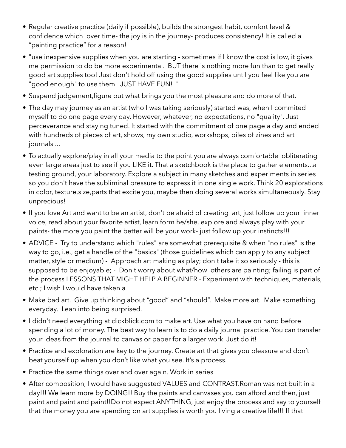- Regular creative practice (daily if possible), builds the strongest habit, comfort level & confidence which over time- the joy is in the journey- produces consistency! It is called a "painting practice" for a reason!
- "use inexpensive supplies when you are starting sometimes if I know the cost is low, it gives me permission to do be more experimental. BUT there is nothing more fun than to get really good art supplies too! Just don't hold off using the good supplies until you feel like you are "good enough" to use them. JUST HAVE FUN! "
- Suspend judgement,figure out what brings you the most pleasure and do more of that.
- The day may journey as an artist (who I was taking seriously) started was, when I commited myself to do one page every day. However, whatever, no expectations, no "quality". Just perceverance and staying tuned. It started with the commitment of one page a day and ended with hundreds of pieces of art, shows, my own studio, workshops, piles of zines and art journals ...
- To actually explore/play in all your media to the point you are always comfortable obliterating even large areas just to see if you LIKE it. That a sketchbook is the place to gather elements...a testing ground, your laboratory. Explore a subject in many sketches and experiments in series so you don't have the subliminal pressure to express it in one single work. Think 20 explorations in color, texture,size,parts that excite you, maybe then doing several works simultaneously. Stay unprecious!
- If you love Art and want to be an artist, don't be afraid of creating art, just follow up your inner voice, read about your favorite artist, learn form he/she, explore and always play with your paints- the more you paint the better will be your work- just follow up your instincts!!!
- ADVICE Try to understand which "rules" are somewhat prerequisite & when "no rules" is the way to go, i.e., get a handle of the "basics" (those guidelines which can apply to any subject matter, style or medium) - Approach art making as play; don't take it so seriously - this is supposed to be enjoyable; - Don't worry about what/how others are painting; failing is part of the process LESSONS THAT MIGHT HELP A BEGINNER - Experiment with techniques, materials, etc.; I wish I would have taken a
- Make bad art. Give up thinking about "good" and "should". Make more art. Make something everyday. Lean into being surprised.
- I didn't need everything at dickblick.com to make art. Use what you have on hand before spending a lot of money. The best way to learn is to do a daily journal practice. You can transfer your ideas from the journal to canvas or paper for a larger work. Just do it!
- Practice and exploration are key to the journey. Create art that gives you pleasure and don't beat yourself up when you don't like what you see. It's a process.
- Practice the same things over and over again. Work in series
- After composition, I would have suggested VALUES and CONTRAST.Roman was not built in a day!!! We learn more by DOING!! Buy the paints and canvases you can afford and then, just paint and paint and paint!!Do not expect ANYTHING, just enjoy the process and say to yourself that the money you are spending on art supplies is worth you living a creative life!!! If that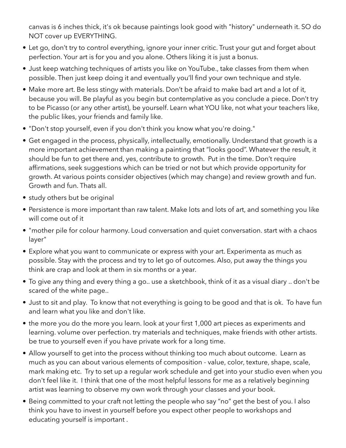canvas is 6 inches thick, it's ok because paintings look good with "history" underneath it. SO do NOT cover up EVERYTHING.

- Let go, don't try to control everything, ignore your inner critic. Trust your gut and forget about perfection. Your art is for you and you alone. Others liking it is just a bonus.
- Just keep watching techniques of artists you like on YouTube., take classes from them when possible. Then just keep doing it and eventually you'll find your own technique and style.
- Make more art. Be less stingy with materials. Don't be afraid to make bad art and a lot of it, because you will. Be playful as you begin but contemplative as you conclude a piece. Don't try to be Picasso (or any other artist), be yourself. Learn what YOU like, not what your teachers like, the public likes, your friends and family like.
- "Don't stop yourself, even if you don't think you know what you're doing."
- Get engaged in the process, physically, intellectually, emotionally. Understand that growth is a more important achievement than making a painting that "looks good". Whatever the result, it should be fun to get there and, yes, contribute to growth. Put in the time. Don't require affirmations, seek suggestions which can be tried or not but which provide opportunity for growth. At various points consider objectives (which may change) and review growth and fun. Growth and fun. Thats all.
- study others but be original
- Persistence is more important than raw talent. Make lots and lots of art, and something you like will come out of it
- "mother pile for colour harmony. Loud conversation and quiet conversation. start with a chaos layer"
- Explore what you want to communicate or express with your art. Experimenta as much as possible. Stay with the process and try to let go of outcomes. Also, put away the things you think are crap and look at them in six months or a year.
- To give any thing and every thing a go.. use a sketchbook, think of it as a visual diary .. don't be scared of the white page..
- Just to sit and play. To know that not everything is going to be good and that is ok. To have fun and learn what you like and don't like.
- the more you do the more you learn. look at your first 1,000 art pieces as experiments and learning. volume over perfection. try materials and techniques, make friends with other artists. be true to yourself even if you have private work for a long time.
- Allow yourself to get into the process without thinking too much about outcome. Learn as much as you can about various elements of composition - value, color, texture, shape, scale, mark making etc. Try to set up a regular work schedule and get into your studio even when you don't feel like it. I think that one of the most helpful lessons for me as a relatively beginning artist was learning to observe my own work through your classes and your book.
- Being committed to your craft not letting the people who say "no" get the best of you. I also think you have to invest in yourself before you expect other people to workshops and educating yourself is important .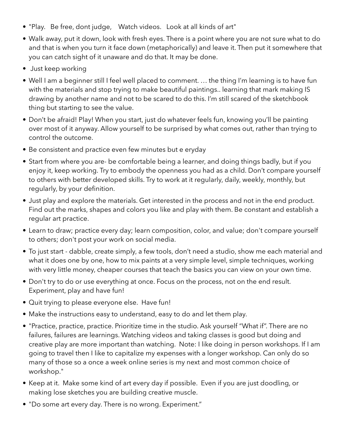- "Play. Be free, dont judge, Watch videos. Look at all kinds of art"
- Walk away, put it down, look with fresh eyes. There is a point where you are not sure what to do and that is when you turn it face down (metaphorically) and leave it. Then put it somewhere that you can catch sight of it unaware and do that. It may be done.
- Just keep working
- Well I am a beginner still I feel well placed to comment. … the thing I'm learning is to have fun with the materials and stop trying to make beautiful paintings.. learning that mark making IS drawing by another name and not to be scared to do this. I'm still scared of the sketchbook thing but starting to see the value.
- Don't be afraid! Play! When you start, just do whatever feels fun, knowing you'll be painting over most of it anyway. Allow yourself to be surprised by what comes out, rather than trying to control the outcome.
- Be consistent and practice even few minutes but e eryday
- Start from where you are- be comfortable being a learner, and doing things badly, but if you enjoy it, keep working. Try to embody the openness you had as a child. Don't compare yourself to others with better developed skills. Try to work at it regularly, daily, weekly, monthly, but regularly, by your definition.
- Just play and explore the materials. Get interested in the process and not in the end product. Find out the marks, shapes and colors you like and play with them. Be constant and establish a regular art practice.
- Learn to draw; practice every day; learn composition, color, and value; don't compare yourself to others; don't post your work on social media.
- To just start dabble, create simply, a few tools, don't need a studio, show me each material and what it does one by one, how to mix paints at a very simple level, simple techniques, working with very little money, cheaper courses that teach the basics you can view on your own time.
- Don't try to do or use everything at once. Focus on the process, not on the end result. Experiment, play and have fun!
- Quit trying to please everyone else. Have fun!
- Make the instructions easy to understand, easy to do and let them play.
- "Practice, practice, practice. Prioritize time in the studio. Ask yourself "What if". There are no failures, failures are learnings. Watching videos and taking classes is good but doing and creative play are more important than watching. Note: I like doing in person workshops. If I am going to travel then I like to capitalize my expenses with a longer workshop. Can only do so many of those so a once a week online series is my next and most common choice of workshop."
- Keep at it. Make some kind of art every day if possible. Even if you are just doodling, or making lose sketches you are building creative muscle.
- "Do some art every day. There is no wrong. Experiment."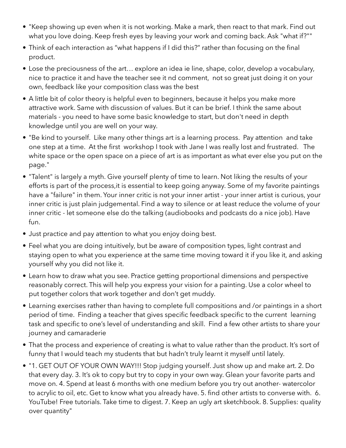- "Keep showing up even when it is not working. Make a mark, then react to that mark. Find out what you love doing. Keep fresh eyes by leaving your work and coming back. Ask "what if?""
- Think of each interaction as "what happens if I did this?" rather than focusing on the final product.
- Lose the preciousness of the art… explore an idea ie line, shape, color, develop a vocabulary, nice to practice it and have the teacher see it nd comment, not so great just doing it on your own, feedback like your composition class was the best
- A little bit of color theory is helpful even to beginners, because it helps you make more attractive work. Same with discussion of values. But it can be brief. I think the same about materials - you need to have some basic knowledge to start, but don't need in depth knowledge until you are well on your way.
- "Be kind to yourself. Like many other things art is a learning process. Pay attention and take one step at a time. At the first workshop I took with Jane I was really lost and frustrated. The white space or the open space on a piece of art is as important as what ever else you put on the page."
- "Talent" is largely a myth. Give yourself plenty of time to learn. Not liking the results of your efforts is part of the process,it is essential to keep going anyway. Some of my favorite paintings have a "failure" in them. Your inner critic is not your inner artist - your inner artist is curious, your inner critic is just plain judgemental. Find a way to silence or at least reduce the volume of your inner critic - let someone else do the talking (audiobooks and podcasts do a nice job). Have fun.
- Just practice and pay attention to what you enjoy doing best.
- Feel what you are doing intuitively, but be aware of composition types, light contrast and staying open to what you experience at the same time moving toward it if you like it, and asking yourself why you did not like it.
- Learn how to draw what you see. Practice getting proportional dimensions and perspective reasonably correct. This will help you express your vision for a painting. Use a color wheel to put together colors that work together and don't get muddy.
- Learning exercises rather than having to complete full compositions and /or paintings in a short period of time. Finding a teacher that gives specific feedback specific to the current learning task and specific to one's level of understanding and skill. Find a few other artists to share your journey and camaraderie
- That the process and experience of creating is what to value rather than the product. It's sort of funny that I would teach my students that but hadn't truly learnt it myself until lately.
- "1. GET OUT OF YOUR OWN WAY!!! Stop judging yourself. Just show up and make art. 2. Do that every day. 3. It's ok to copy but try to copy in your own way. Glean your favorite parts and move on. 4. Spend at least 6 months with one medium before you try out another- watercolor to acrylic to oil, etc. Get to know what you already have. 5. find other artists to converse with. 6. YouTube! Free tutorials. Take time to digest. 7. Keep an ugly art sketchbook. 8. Supplies: quality over quantity"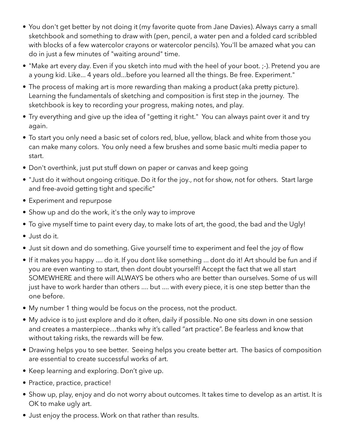- You don't get better by not doing it (my favorite quote from Jane Davies). Always carry a small sketchbook and something to draw with (pen, pencil, a water pen and a folded card scribbled with blocks of a few watercolor crayons or watercolor pencils). You'll be amazed what you can do in just a few minutes of "waiting around" time.
- "Make art every day. Even if you sketch into mud with the heel of your boot. ;-). Pretend you are a young kid. Like... 4 years old...before you learned all the things. Be free. Experiment."
- The process of making art is more rewarding than making a product (aka pretty picture). Learning the fundamentals of sketching and composition is first step in the journey. The sketchbook is key to recording your progress, making notes, and play.
- Try everything and give up the idea of "getting it right." You can always paint over it and try again.
- To start you only need a basic set of colors red, blue, yellow, black and white from those you can make many colors. You only need a few brushes and some basic multi media paper to start.
- Don't overthink, just put stuff down on paper or canvas and keep going
- "Just do it without ongoing critique. Do it for the joy., not for show, not for others. Start large and free-avoid getting tight and specific"
- Experiment and repurpose
- Show up and do the work, it's the only way to improve
- To give myself time to paint every day, to make lots of art, the good, the bad and the Ugly!
- Just do it.
- Just sit down and do something. Give yourself time to experiment and feel the joy of flow
- If it makes you happy .... do it. If you dont like something ... dont do it! Art should be fun and if you are even wanting to start, then dont doubt yourself! Accept the fact that we all start SOMEWHERE and there will ALWAYS be others who are better than ourselves. Some of us will just have to work harder than others .... but .... with every piece, it is one step better than the one before.
- My number 1 thing would be focus on the process, not the product.
- My advice is to just explore and do it often, daily if possible. No one sits down in one session and creates a masterpiece…thanks why it's called "art practice". Be fearless and know that without taking risks, the rewards will be few.
- Drawing helps you to see better. Seeing helps you create better art. The basics of composition are essential to create successful works of art.
- Keep learning and exploring. Don't give up.
- Practice, practice, practice!
- Show up, play, enjoy and do not worry about outcomes. It takes time to develop as an artist. It is OK to make ugly art.
- Just enjoy the process. Work on that rather than results.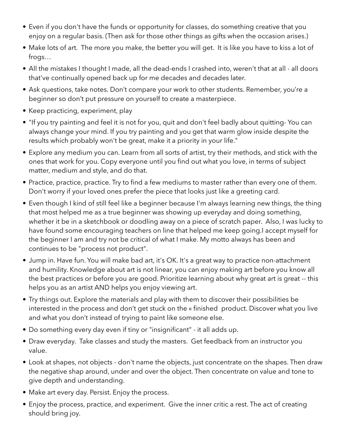- Even if you don't have the funds or opportunity for classes, do something creative that you enjoy on a regular basis. (Then ask for those other things as gifts when the occasion arises.)
- Make lots of art. The more you make, the better you will get. It is like you have to kiss a lot of frogs…
- All the mistakes I thought I made, all the dead-ends I crashed into, weren't that at all all doors that've continually opened back up for me decades and decades later.
- Ask questions, take notes. Don't compare your work to other students. Remember, you're a beginner so don't put pressure on yourself to create a masterpiece.
- Keep practicing, experiment, play
- "If you try painting and feel it is not for you, quit and don't feel badly about quitting- You can always change your mind. If you try painting and you get that warm glow inside despite the results which probably won't be great, make it a priority in your life."
- Explore any medium you can. Learn from all sorts of artist, try their methods, and stick with the ones that work for you. Copy everyone until you find out what you love, in terms of subject matter, medium and style, and do that.
- Practice, practice, practice. Try to find a few mediums to master rather than every one of them. Don't worry if your loved ones prefer the piece that looks just like a greeting card.
- Even though I kind of still feel like a beginner because I'm always learning new things, the thing that most helped me as a true beginner was showing up everyday and doing something, whether it be in a sketchbook or doodling away on a piece of scratch paper. Also, I was lucky to have found some encouraging teachers on line that helped me keep going.I accept myself for the beginner I am and try not be critical of what I make. My motto always has been and continues to be "process not product".
- Jump in. Have fun. You will make bad art, it's OK. It's a great way to practice non-attachment and humility. Knowledge about art is not linear, you can enjoy making art before you know all the best practices or before you are good. Prioritize learning about why great art is great -- this helps you as an artist AND helps you enjoy viewing art.
- Try things out. Explore the materials and play with them to discover their possibilities be interested in the process and don't get stuck on the « finished product. Discover what you live and what you don't instead of trying to paint like someone else.
- Do something every day even if tiny or "insignificant" it all adds up.
- Draw everyday. Take classes and study the masters. Get feedback from an instructor you value.
- Look at shapes, not objects don't name the objects, just concentrate on the shapes. Then draw the negative shap around, under and over the object. Then concentrate on value and tone to give depth and understanding.
- Make art every day. Persist. Enjoy the process.
- Enjoy the process, practice, and experiment. Give the inner critic a rest. The act of creating should bring joy.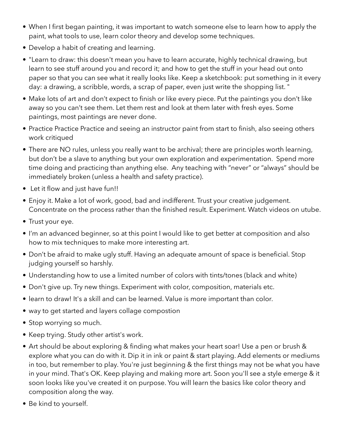- When I first began painting, it was important to watch someone else to learn how to apply the paint, what tools to use, learn color theory and develop some techniques.
- Develop a habit of creating and learning.
- "Learn to draw: this doesn't mean you have to learn accurate, highly technical drawing, but learn to see stuff around you and record it; and how to get the stuff in your head out onto paper so that you can see what it really looks like. Keep a sketchbook: put something in it every day: a drawing, a scribble, words, a scrap of paper, even just write the shopping list. "
- Make lots of art and don't expect to finish or like every piece. Put the paintings you don't like away so you can't see them. Let them rest and look at them later with fresh eyes. Some paintings, most paintings are never done.
- Practice Practice Practice and seeing an instructor paint from start to finish, also seeing others work critiqued
- There are NO rules, unless you really want to be archival; there are principles worth learning, but don't be a slave to anything but your own exploration and experimentation. Spend more time doing and practicing than anything else. Any teaching with "never" or "always" should be immediately broken (unless a health and safety practice).
- Let it flow and just have fun!!
- Enjoy it. Make a lot of work, good, bad and indifferent. Trust your creative judgement. Concentrate on the process rather than the finished result. Experiment. Watch videos on utube.
- Trust your eye.
- I'm an advanced beginner, so at this point I would like to get better at composition and also how to mix techniques to make more interesting art.
- Don't be afraid to make ugly stuff. Having an adequate amount of space is beneficial. Stop judging yourself so harshly.
- Understanding how to use a limited number of colors with tints/tones (black and white)
- Don't give up. Try new things. Experiment with color, composition, materials etc.
- learn to draw! It's a skill and can be learned. Value is more important than color.
- way to get started and layers collage compostion
- Stop worrying so much.
- Keep trying. Study other artist's work.
- Art should be about exploring & finding what makes your heart soar! Use a pen or brush & explore what you can do with it. Dip it in ink or paint & start playing. Add elements or mediums in too, but remember to play. You're just beginning & the first things may not be what you have in your mind. That's OK. Keep playing and making more art. Soon you'll see a style emerge & it soon looks like you've created it on purpose. You will learn the basics like color theory and composition along the way.
- Be kind to yourself.